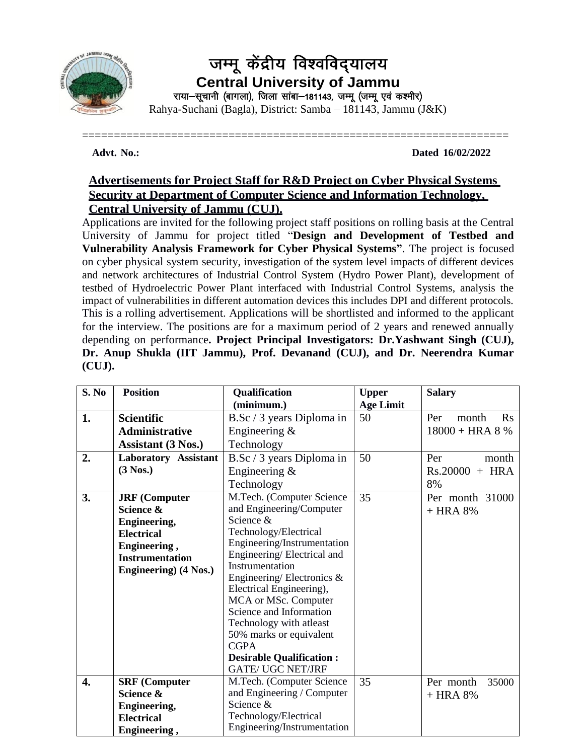

## जम्मू केंद्रीय विश्वविद्यालय **Central University of Jammu** राया-सूचानी (बागला), जिला सांबा-181143, जम्मू (जम्मू एवं कश्मीर) Rahya-Suchani (Bagla), District: Samba – 181143, Jammu (J&K)

===================================================================

**Advt. No.: Dated 16/02/2022**

## **Advertisements for Project Staff for R&D Project on Cyber Physical Systems Security at Department of Computer Science and Information Technology, Central University of Jammu (CUJ).**

Applications are invited for the following project staff positions on rolling basis at the Central University of Jammu for project titled "**Design and Development of Testbed and Vulnerability Analysis Framework for Cyber Physical Systems"**. The project is focused on cyber physical system security, investigation of the system level impacts of different devices and network architectures of Industrial Control System (Hydro Power Plant), development of testbed of Hydroelectric Power Plant interfaced with Industrial Control Systems, analysis the impact of vulnerabilities in different automation devices this includes DPI and different protocols. This is a rolling advertisement. Applications will be shortlisted and informed to the applicant for the interview. The positions are for a maximum period of 2 years and renewed annually depending on performance**. Project Principal Investigators: Dr.Yashwant Singh (CUJ), Dr. Anup Shukla (IIT Jammu), Prof. Devanand (CUJ), and Dr. Neerendra Kumar (CUJ).**

| S. No | <b>Position</b>             | Qualification                                    | <b>Upper</b>     | <b>Salary</b>                  |
|-------|-----------------------------|--------------------------------------------------|------------------|--------------------------------|
|       |                             | (minimum.)                                       | <b>Age Limit</b> |                                |
| 1.    | <b>Scientific</b>           | B.Sc / 3 years Diploma in                        | 50               | $\mathbf{R}$ s<br>Per<br>month |
|       | Administrative              | Engineering $\&$                                 |                  | $18000 + HRA 8 %$              |
|       | <b>Assistant (3 Nos.)</b>   | Technology                                       |                  |                                |
| 2.    | <b>Laboratory Assistant</b> | B.Sc / 3 years Diploma in                        | 50               | Per<br>month                   |
|       | $(3$ Nos.)                  | Engineering $\&$                                 |                  | $Rs.20000 + HRA$               |
|       |                             | Technology                                       |                  | 8%                             |
| 3.    | <b>JRF</b> (Computer        | M.Tech. (Computer Science                        | 35               | Per month 31000                |
|       | Science &                   | and Engineering/Computer                         |                  | $+$ HRA 8%                     |
|       | <b>Engineering,</b>         | Science &                                        |                  |                                |
|       | <b>Electrical</b>           | Technology/Electrical                            |                  |                                |
|       | Engineering,                | Engineering/Instrumentation                      |                  |                                |
|       | <b>Instrumentation</b>      | Engineering/Electrical and                       |                  |                                |
|       | Engineering) (4 Nos.)       | Instrumentation                                  |                  |                                |
|       |                             | Engineering/Electronics $\&$                     |                  |                                |
|       |                             | Electrical Engineering),<br>MCA or MSc. Computer |                  |                                |
|       |                             | Science and Information                          |                  |                                |
|       |                             | Technology with atleast                          |                  |                                |
|       |                             | 50% marks or equivalent                          |                  |                                |
|       |                             | <b>CGPA</b>                                      |                  |                                |
|       |                             | <b>Desirable Qualification:</b>                  |                  |                                |
|       |                             | <b>GATE/ UGC NET/JRF</b>                         |                  |                                |
| 4.    | <b>SRF</b> (Computer        | M.Tech. (Computer Science                        | 35               | Per month<br>35000             |
|       | Science &                   | and Engineering / Computer                       |                  | $+$ HRA 8%                     |
|       | <b>Engineering,</b>         | Science &                                        |                  |                                |
|       | <b>Electrical</b>           | Technology/Electrical                            |                  |                                |
|       | Engineering,                | Engineering/Instrumentation                      |                  |                                |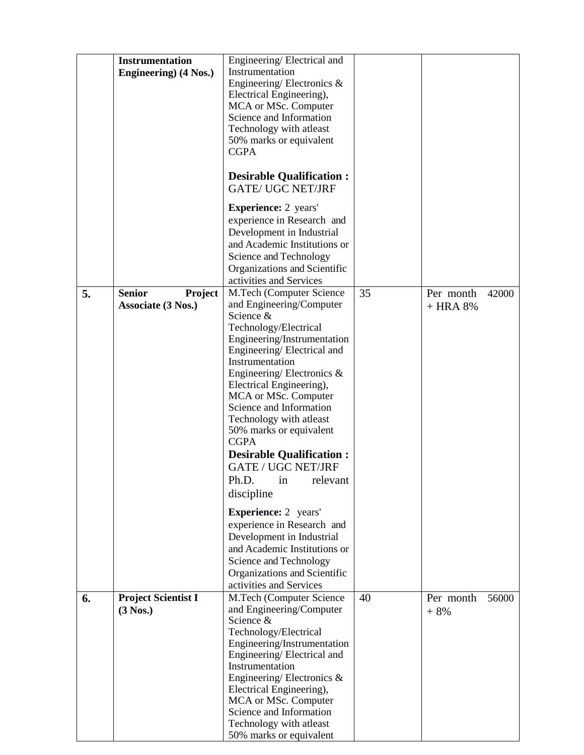|    | <b>Instrumentation</b><br>Engineering) (4 Nos.) | Engineering/Electrical and<br>Instrumentation<br>Engineering/Electronics $\&$<br>Electrical Engineering),<br>MCA or MSc. Computer<br>Science and Information<br>Technology with atleast<br>50% marks or equivalent<br><b>CGPA</b><br><b>Desirable Qualification:</b><br><b>GATE/ UGC NET/JRF</b><br><b>Experience:</b> 2 years'                                                                                                       |    |                    |       |
|----|-------------------------------------------------|---------------------------------------------------------------------------------------------------------------------------------------------------------------------------------------------------------------------------------------------------------------------------------------------------------------------------------------------------------------------------------------------------------------------------------------|----|--------------------|-------|
|    |                                                 | experience in Research and<br>Development in Industrial<br>and Academic Institutions or<br>Science and Technology<br>Organizations and Scientific<br>activities and Services                                                                                                                                                                                                                                                          |    |                    |       |
| 5. | <b>Senior</b><br>Project                        | M.Tech (Computer Science                                                                                                                                                                                                                                                                                                                                                                                                              | 35 | Per month          | 42000 |
|    | Associate (3 Nos.)                              | and Engineering/Computer<br>Science &<br>Technology/Electrical<br>Engineering/Instrumentation<br>Engineering/Electrical and<br>Instrumentation<br>Engineering/Electronics $\&$<br>Electrical Engineering),<br>MCA or MSc. Computer<br>Science and Information<br>Technology with atleast<br>50% marks or equivalent<br><b>CGPA</b><br><b>Desirable Qualification:</b><br><b>GATE / UGC NET/JRF</b><br>Ph.D. in relevant<br>discipline |    | $+$ HRA 8%         |       |
|    |                                                 | <b>Experience:</b> 2 years'<br>experience in Research and<br>Development in Industrial<br>and Academic Institutions or<br>Science and Technology<br>Organizations and Scientific<br>activities and Services                                                                                                                                                                                                                           |    |                    |       |
| 6. | <b>Project Scientist I</b><br>$(3$ Nos.)        | M.Tech (Computer Science<br>and Engineering/Computer<br>Science &<br>Technology/Electrical<br>Engineering/Instrumentation<br>Engineering/Electrical and<br>Instrumentation<br>Engineering/Electronics $\&$<br>Electrical Engineering),<br>MCA or MSc. Computer<br>Science and Information<br>Technology with atleast<br>50% marks or equivalent                                                                                       | 40 | Per month<br>$+8%$ | 56000 |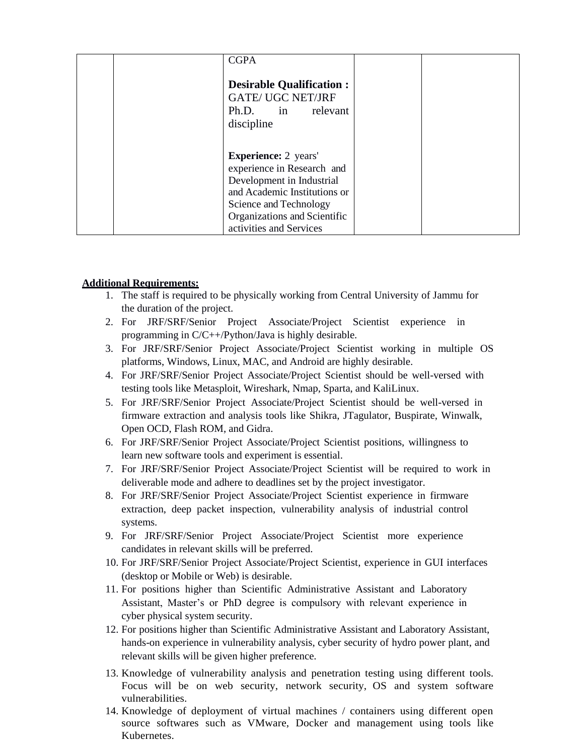|  | <b>CGPA</b>                     |  |
|--|---------------------------------|--|
|  |                                 |  |
|  | <b>Desirable Qualification:</b> |  |
|  | <b>GATE/ UGC NET/JRF</b>        |  |
|  | Ph.D. in relevant               |  |
|  | discipline                      |  |
|  |                                 |  |
|  |                                 |  |
|  | <b>Experience:</b> 2 years'     |  |
|  | experience in Research and      |  |
|  | Development in Industrial       |  |
|  | and Academic Institutions or    |  |
|  | Science and Technology          |  |
|  | Organizations and Scientific    |  |
|  | activities and Services         |  |

#### **Additional Requirements:**

- 1. The staff is required to be physically working from Central University of Jammu for the duration of the project.
- 2. For JRF/SRF/Senior Project Associate/Project Scientist experience in programming in C/C++/Python/Java is highly desirable.
- 3. For JRF/SRF/Senior Project Associate/Project Scientist working in multiple OS platforms, Windows, Linux, MAC, and Android are highly desirable.
- 4. For JRF/SRF/Senior Project Associate/Project Scientist should be well-versed with testing tools like Metasploit, Wireshark, Nmap, Sparta, and KaliLinux.
- 5. For JRF/SRF/Senior Project Associate/Project Scientist should be well-versed in firmware extraction and analysis tools like Shikra, JTagulator, Buspirate, Winwalk, Open OCD, Flash ROM, and Gidra.
- 6. For JRF/SRF/Senior Project Associate/Project Scientist positions, willingness to learn new software tools and experiment is essential.
- 7. For JRF/SRF/Senior Project Associate/Project Scientist will be required to work in deliverable mode and adhere to deadlines set by the project investigator.
- 8. For JRF/SRF/Senior Project Associate/Project Scientist experience in firmware extraction, deep packet inspection, vulnerability analysis of industrial control systems.
- 9. For JRF/SRF/Senior Project Associate/Project Scientist more experience candidates in relevant skills will be preferred.
- 10. For JRF/SRF/Senior Project Associate/Project Scientist, experience in GUI interfaces (desktop or Mobile or Web) is desirable.
- 11. For positions higher than Scientific Administrative Assistant and Laboratory Assistant, Master's or PhD degree is compulsory with relevant experience in cyber physical system security.
- 12. For positions higher than Scientific Administrative Assistant and Laboratory Assistant, hands-on experience in vulnerability analysis, cyber security of hydro power plant, and relevant skills will be given higher preference.
- 13. Knowledge of vulnerability analysis and penetration testing using different tools. Focus will be on web security, network security, OS and system software vulnerabilities.
- 14. Knowledge of deployment of virtual machines / containers using different open source softwares such as VMware, Docker and management using tools like Kubernetes.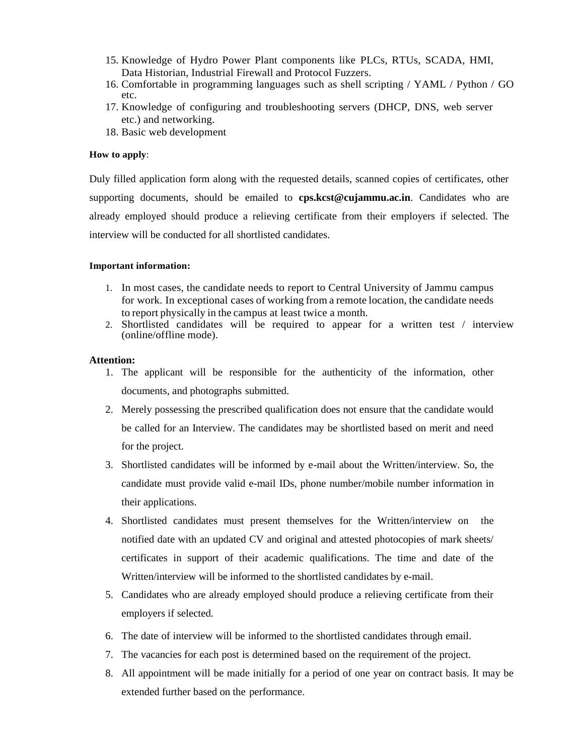- 15. Knowledge of Hydro Power Plant components like PLCs, RTUs, SCADA, HMI, Data Historian, Industrial Firewall and Protocol Fuzzers.
- 16. Comfortable in programming languages such as shell scripting / YAML / Python / GO etc.
- 17. Knowledge of configuring and troubleshooting servers (DHCP, DNS, web server etc.) and networking.
- 18. Basic web development

#### **How to apply**:

Duly filled application form along with the requested details, scanned copies of certificates, other supporting documents, should be emailed to **cps.kcst@cujammu.ac.in**. Candidates who are already employed should produce a relieving certificate from their employers if selected. The interview will be conducted for all shortlisted candidates.

#### **Important information:**

- 1. In most cases, the candidate needs to report to Central University of Jammu campus for work. In exceptional cases of working from a remote location, the candidate needs to report physically in the campus at least twice a month.
- 2. Shortlisted candidates will be required to appear for a written test / interview (online/offline mode).

#### **Attention:**

- 1. The applicant will be responsible for the authenticity of the information, other documents, and photographs submitted.
- 2. Merely possessing the prescribed qualification does not ensure that the candidate would be called for an Interview. The candidates may be shortlisted based on merit and need for the project.
- 3. Shortlisted candidates will be informed by e-mail about the Written/interview. So, the candidate must provide valid e-mail IDs, phone number/mobile number information in their applications.
- 4. Shortlisted candidates must present themselves for the Written/interview on the notified date with an updated CV and original and attested photocopies of mark sheets/ certificates in support of their academic qualifications. The time and date of the Written/interview will be informed to the shortlisted candidates by e-mail.
- 5. Candidates who are already employed should produce a relieving certificate from their employers if selected.
- 6. The date of interview will be informed to the shortlisted candidates through email.
- 7. The vacancies for each post is determined based on the requirement of the project.
- 8. All appointment will be made initially for a period of one year on contract basis. It may be extended further based on the performance.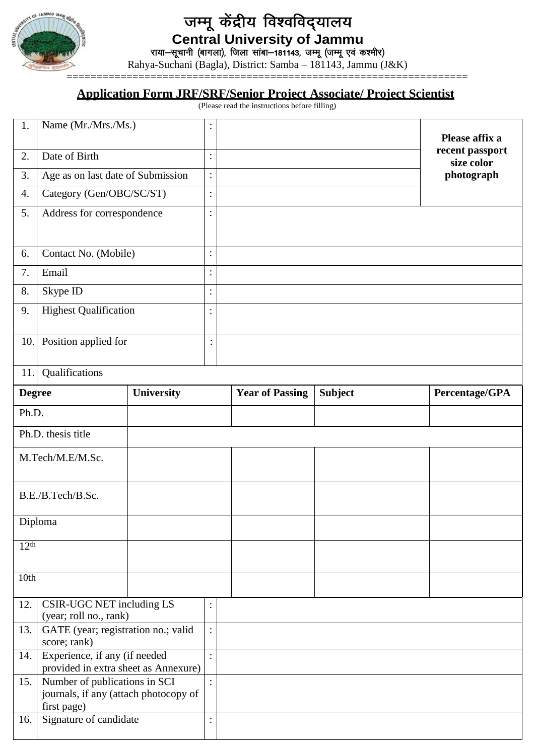

# जम्मू केंद्रीय विश्वविद्यालय **Central University of Jammu**

राया—सूचानी (बागला), जिला सांबा—181143, जम्मू (जम्मू एवं कश्मीर)

Rahya-Suchani (Bagla), District: Samba – 181143, Jammu (J&K)

## **Application Form JRF/SRF/Senior Project Associate/ Project Scientist**

(Please read the instructions before filling)

| 1.                                                                           | Name (Mr./Mrs./Ms.)                                 |                | :                      |                |                | Please affix a                |
|------------------------------------------------------------------------------|-----------------------------------------------------|----------------|------------------------|----------------|----------------|-------------------------------|
| 2.                                                                           | Date of Birth                                       |                | $\ddot{\cdot}$         |                |                | recent passport<br>size color |
| 3.                                                                           | Age as on last date of Submission                   |                | $\ddot{\cdot}$         |                |                | photograph                    |
| 4.                                                                           | Category (Gen/OBC/SC/ST)                            |                | $\vdots$               |                |                |                               |
| 5.                                                                           | Address for correspondence                          |                | $\ddot{\cdot}$         |                |                |                               |
|                                                                              |                                                     |                |                        |                |                |                               |
| 6.                                                                           | Contact No. (Mobile)                                |                | $\ddot{\cdot}$         |                |                |                               |
| 7.                                                                           | Email                                               |                | $\ddot{\cdot}$         |                |                |                               |
| 8.                                                                           | Skype ID                                            |                | $\ddot{\cdot}$         |                |                |                               |
| 9.                                                                           | <b>Highest Qualification</b>                        |                | :                      |                |                |                               |
|                                                                              |                                                     |                |                        |                |                |                               |
| 10.                                                                          | Position applied for                                |                | $\bullet$              |                |                |                               |
| 11.                                                                          | Qualifications                                      |                |                        |                |                |                               |
| University<br><b>Degree</b>                                                  |                                                     |                | <b>Year of Passing</b> | <b>Subject</b> | Percentage/GPA |                               |
|                                                                              |                                                     |                |                        |                |                |                               |
| Ph.D.                                                                        |                                                     |                |                        |                |                |                               |
|                                                                              | Ph.D. thesis title                                  |                |                        |                |                |                               |
|                                                                              | M.Tech/M.E/M.Sc.                                    |                |                        |                |                |                               |
|                                                                              |                                                     |                |                        |                |                |                               |
| B.E./B.Tech/B.Sc.                                                            |                                                     |                |                        |                |                |                               |
| Diploma                                                                      |                                                     |                |                        |                |                |                               |
| 12 <sup>th</sup>                                                             |                                                     |                |                        |                |                |                               |
|                                                                              |                                                     |                |                        |                |                |                               |
| 10th                                                                         |                                                     |                |                        |                |                |                               |
| CSIR-UGC NET including LS<br>12.                                             |                                                     | $\ddot{\cdot}$ |                        |                |                |                               |
|                                                                              | (year; roll no., rank)                              |                |                        |                |                |                               |
| 13.                                                                          | GATE (year; registration no.; valid<br>score; rank) |                | $\ddot{\cdot}$         |                |                |                               |
| Experience, if any (if needed<br>14.                                         |                                                     | $\ddot{\cdot}$ |                        |                |                |                               |
| provided in extra sheet as Annexure)<br>Number of publications in SCI<br>15. |                                                     |                |                        |                |                |                               |
| journals, if any (attach photocopy of                                        |                                                     |                |                        |                |                |                               |
| first page)                                                                  |                                                     |                |                        |                |                |                               |
| Signature of candidate<br>16.                                                |                                                     | $\ddot{\cdot}$ |                        |                |                |                               |